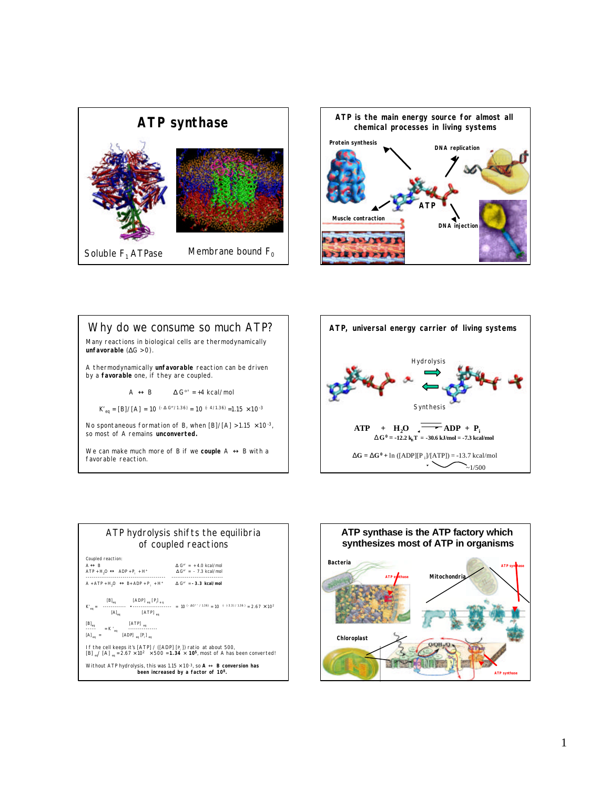



Why do we consume so much ATP? Many reactions in biological cells are thermodynamically **unfavorable** (ΔG > 0). A thermodynamically *unfavorable* reaction can be driven by a *favorable* one, if they are coupled.  $A \ll B$   $\Delta G^{\circ'} = +4$  kcal/mol  $K'_{eq} = [B]/[A] = 10^{(-\Delta G^{\circ}/1.36)} = 10^{(-4/1.36)} = 1.15 \times 10^{-3}$ No spontaneous formation of B, when  $[B]/[A] > 1.15 \times 10^{-3}$ , so most of A remains **unconverted.** We can make much more of B if we **couple** A **«** B with a favorable reaction.





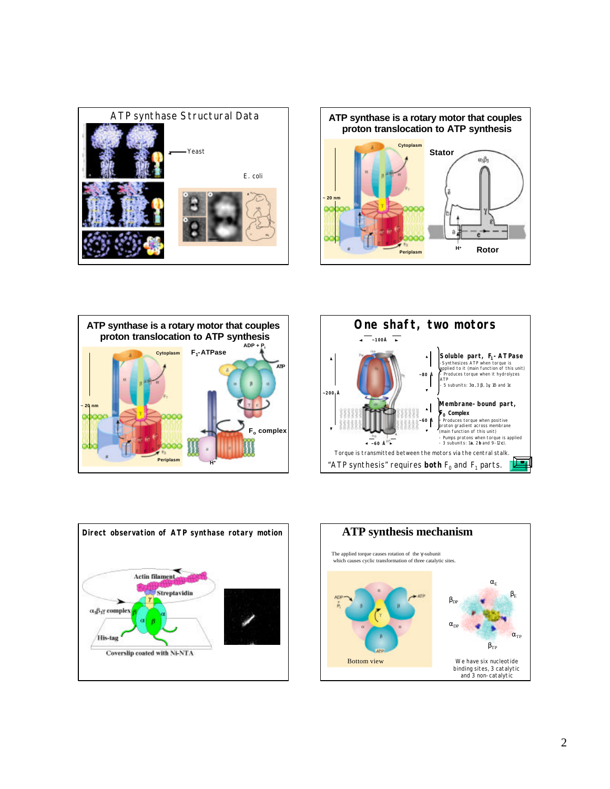









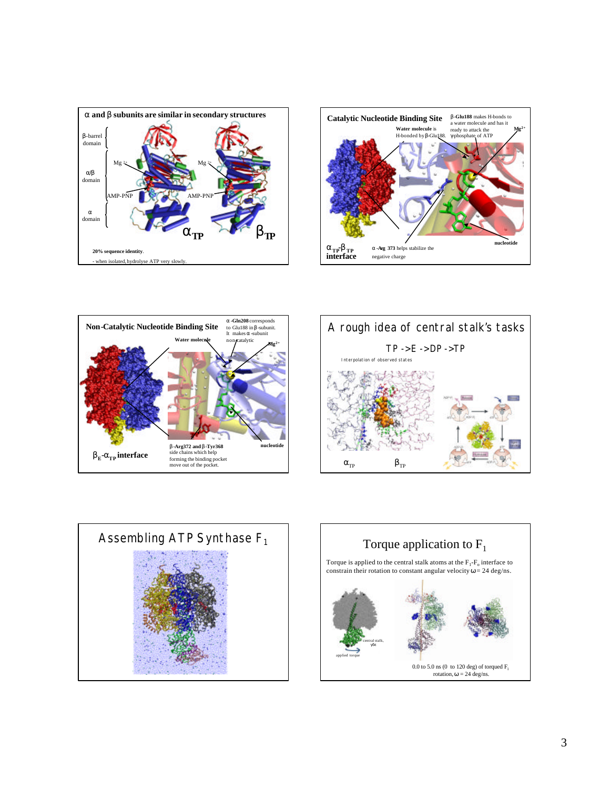









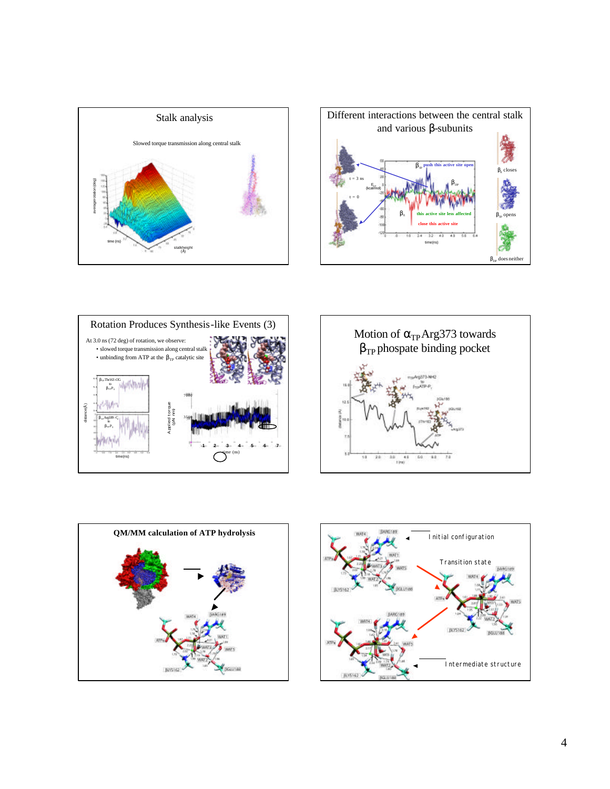









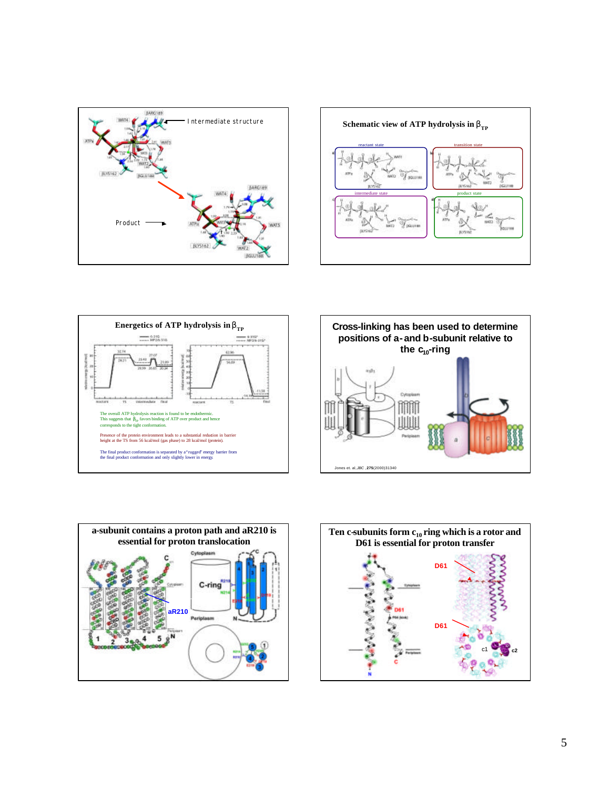